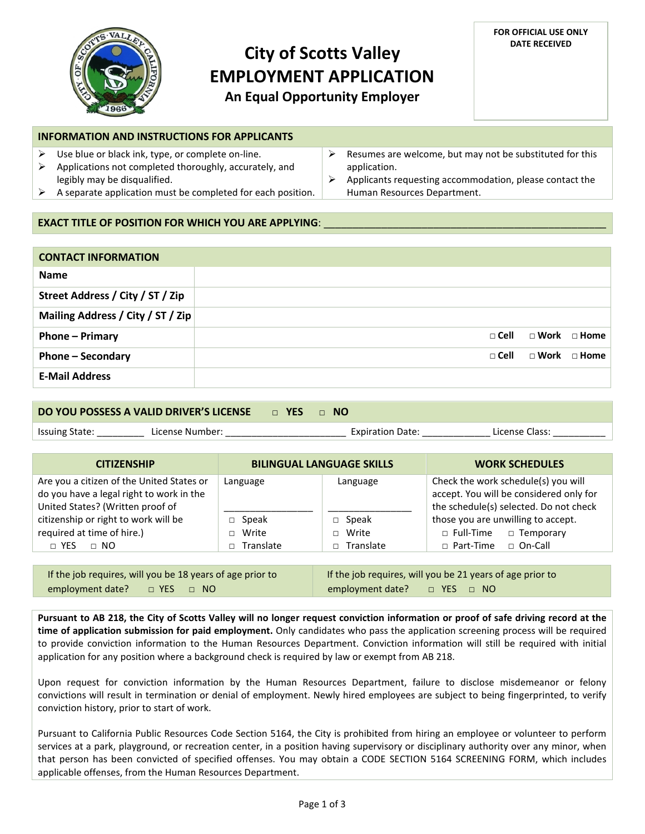

# **City of Scotts Valley EMPLOYMENT APPLICATION An Equal Opportunity Employer**

#### **FOR OFFICIAL USE ONLY DATE RECEIVED**

### **INFORMATION AND INSTRUCTIONS FOR APPLICANTS**

- $\triangleright$  Use blue or black ink, type, or complete on-line.
- $\triangleright$  Applications not completed thoroughly, accurately, and legibly may be disqualified.
- $\triangleright$  A separate application must be completed for each position.
- $\triangleright$  Resumes are welcome, but may not be substituted for this application.
- $\triangleright$  Applicants requesting accommodation, please contact the Human Resources Department.

## **EXACT TITLE OF POSITION FOR WHICH YOU ARE APPLYING:**

| <b>CONTACT INFORMATION</b>        |               |                         |                         |
|-----------------------------------|---------------|-------------------------|-------------------------|
| <b>Name</b>                       |               |                         |                         |
| Street Address / City / ST / Zip  |               |                         |                         |
| Mailing Address / City / ST / Zip |               |                         |                         |
| <b>Phone – Primary</b>            | $\sqcap$ Cell | $\Box$ Work $\Box$ Home |                         |
| <b>Phone - Secondary</b>          | $\sqcap$ Cell |                         | $\Box$ Work $\Box$ Home |
| <b>E-Mail Address</b>             |               |                         |                         |

#### **DO YOU POSSESS A VALID DRIVER'S LICENSE** □ **YES** □ **NO**

Issuing State: \_\_\_\_\_\_\_\_\_ License Number: \_\_\_\_\_\_\_\_\_\_\_\_\_\_\_\_\_\_\_\_\_\_\_ Expiration Date: \_\_\_\_\_\_\_\_\_\_\_\_\_ License Class: \_\_\_\_\_\_\_\_\_\_

| <b>CITIZENSHIP</b>                                                                                                        | <b>BILINGUAL LANGUAGE SKILLS</b> |                            | <b>WORK SCHEDULES</b>                                                                                                    |  |  |  |
|---------------------------------------------------------------------------------------------------------------------------|----------------------------------|----------------------------|--------------------------------------------------------------------------------------------------------------------------|--|--|--|
| Are you a citizen of the United States or<br>do you have a legal right to work in the<br>United States? (Written proof of | Language                         | Language                   | Check the work schedule(s) you will<br>accept. You will be considered only for<br>the schedule(s) selected. Do not check |  |  |  |
| citizenship or right to work will be<br>required at time of hire.)                                                        | Speak<br>Write                   | Speak<br>П.<br>Write<br>П. | those you are unwilling to accept.<br>$\Box$ Temporary<br>$\Box$ Full-Time                                               |  |  |  |
| $\Box$ NO<br>$\sqcap$ YES                                                                                                 | Translate                        | Translate<br>П.            | $\Box$ On-Call<br>$\Box$ Part-Time                                                                                       |  |  |  |

| If the job requires, will you be 18 years of age prior to | If the job requires, will you be 21 years of age prior to |  |  |  |
|-----------------------------------------------------------|-----------------------------------------------------------|--|--|--|
| employment date? $\Box$ YES $\Box$ NO                     | employment date? $\Box$ YES $\Box$ NO                     |  |  |  |

**Pursuant to AB 218, the City of Scotts Valley will no longer request conviction information or proof of safe driving record at the time of application submission for paid employment.** Only candidates who pass the application screening process will be required to provide conviction information to the Human Resources Department. Conviction information will still be required with initial application for any position where a background check is required by law or exempt from AB 218.

Upon request for conviction information by the Human Resources Department, failure to disclose misdemeanor or felony convictions will result in termination or denial of employment. Newly hired employees are subject to being fingerprinted, to verify conviction history, prior to start of work.

Pursuant to California Public Resources Code Section 5164, the City is prohibited from hiring an employee or volunteer to perform services at a park, playground, or recreation center, in a position having supervisory or disciplinary authority over any minor, when that person has been convicted of specified offenses. You may obtain a CODE SECTION 5164 SCREENING FORM, which includes applicable offenses, from the Human Resources Department.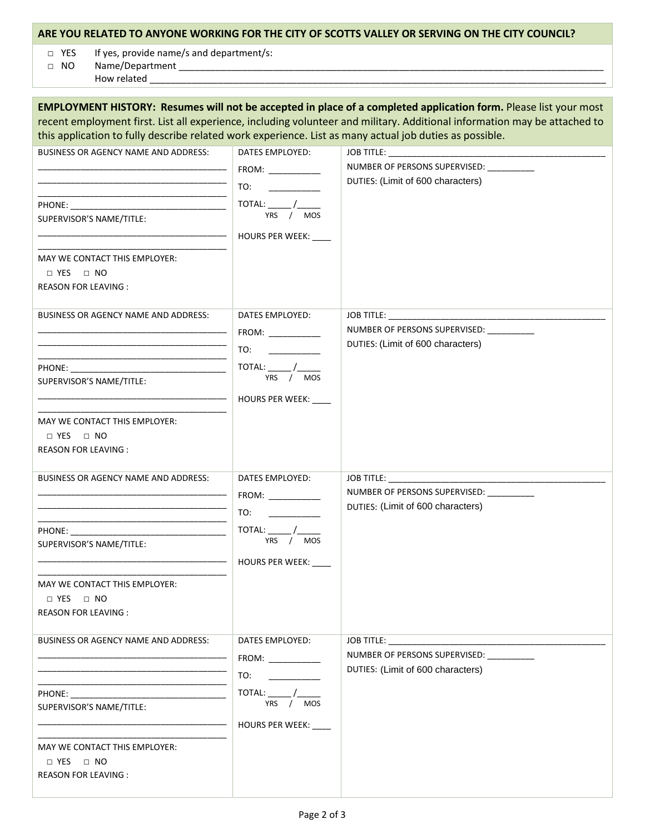## **ARE YOU RELATED TO ANYONE WORKING FOR THE CITY OF SCOTTS VALLEY OR SERVING ON THE CITY COUNCIL?**

□ YES If yes, provide name/s and department/s:

□ NO Name/Department \_\_\_\_\_\_\_\_\_\_\_\_\_\_\_\_\_\_\_\_\_\_\_\_\_\_\_\_\_\_\_\_\_\_\_\_\_\_\_\_\_\_\_\_\_\_\_\_\_\_\_\_\_\_\_\_\_\_\_\_\_\_\_\_\_\_\_\_\_\_\_\_\_\_\_\_\_\_\_\_\_ How related \_

|                                                                                                                                                                                                                                                                                                                                                                                            |                                                                                                                                                                                                                                                                                                                                                                                                                   | <b>EMPLOYMENT HISTORY: Resumes will not be accepted in place of a completed application form.</b> Please list your most<br>recent employment first. List all experience, including volunteer and military. Additional information may be attached to |
|--------------------------------------------------------------------------------------------------------------------------------------------------------------------------------------------------------------------------------------------------------------------------------------------------------------------------------------------------------------------------------------------|-------------------------------------------------------------------------------------------------------------------------------------------------------------------------------------------------------------------------------------------------------------------------------------------------------------------------------------------------------------------------------------------------------------------|------------------------------------------------------------------------------------------------------------------------------------------------------------------------------------------------------------------------------------------------------|
| this application to fully describe related work experience. List as many actual job duties as possible.<br>BUSINESS OR AGENCY NAME AND ADDRESS:<br>SUPERVISOR'S NAME/TITLE:<br>MAY WE CONTACT THIS EMPLOYER:<br>$\Box$ YES<br>$\Box$ NO<br><b>REASON FOR LEAVING:</b>                                                                                                                      | DATES EMPLOYED:<br>TO:<br>$\begin{picture}(20,10) \put(0,0){\line(1,0){10}} \put(15,0){\line(1,0){10}} \put(15,0){\line(1,0){10}} \put(15,0){\line(1,0){10}} \put(15,0){\line(1,0){10}} \put(15,0){\line(1,0){10}} \put(15,0){\line(1,0){10}} \put(15,0){\line(1,0){10}} \put(15,0){\line(1,0){10}} \put(15,0){\line(1,0){10}} \put(15,0){\line(1,0){10}} \put(15,0){\line(1$<br>YRS / MOS<br>HOURS PER WEEK: ___ | JOB TITLE: ______________________<br>NUMBER OF PERSONS SUPERVISED: __________<br>DUTIES: (Limit of 600 characters)                                                                                                                                   |
| <b>BUSINESS OR AGENCY NAME AND ADDRESS:</b><br>SUPERVISOR'S NAME/TITLE:<br>MAY WE CONTACT THIS EMPLOYER:<br>□ YES<br>$\Box$ NO<br><b>REASON FOR LEAVING:</b>                                                                                                                                                                                                                               | DATES EMPLOYED:<br>TO:<br>TOTAL:<br>$\frac{1}{YRS}$ / $MOS$<br>HOURS PER WEEK:                                                                                                                                                                                                                                                                                                                                    | NUMBER OF PERSONS SUPERVISED: __________<br>DUTIES: (Limit of 600 characters)                                                                                                                                                                        |
| <b>BUSINESS OR AGENCY NAME AND ADDRESS:</b><br>SUPERVISOR'S NAME/TITLE:<br>MAY WE CONTACT THIS EMPLOYER:<br>$\Box$ YES $\Box$ NO<br>REASON FOR LEAVING :                                                                                                                                                                                                                                   | DATES EMPLOYED:<br>FROM:<br>TO:<br>TOTAL:<br>YRS<br>$/$ MOS<br>HOURS PER WEEK: ___                                                                                                                                                                                                                                                                                                                                | <b>JOB TITLE:</b><br>NUMBER OF PERSONS SUPERVISED: __________<br>DUTIES: (Limit of 600 characters)                                                                                                                                                   |
| <b>BUSINESS OR AGENCY NAME AND ADDRESS:</b><br>PHONE: The contract of the contract of the contract of the contract of the contract of the contract of the contract of the contract of the contract of the contract of the contract of the contract of the contract of the con<br>SUPERVISOR'S NAME/TITLE:<br>MAY WE CONTACT THIS EMPLOYER:<br>$\Box$ YES $\Box$ NO<br>REASON FOR LEAVING : | DATES EMPLOYED:<br>$FROM:$ _________<br>TO:<br>YRS<br><b>MOS</b><br>HOURS PER WEEK:                                                                                                                                                                                                                                                                                                                               | <b>JOB TITLE:</b><br>NUMBER OF PERSONS SUPERVISED:<br>DUTIES: (Limit of 600 characters)                                                                                                                                                              |